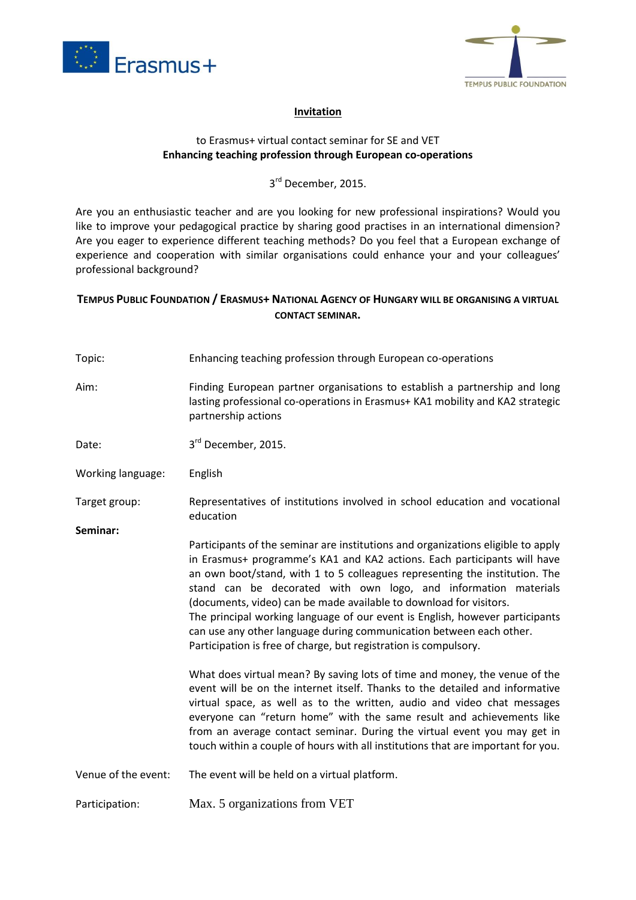



## **Invitation**

## to Erasmus+ virtual contact seminar for SE and VET **Enhancing teaching profession through European co-operations**

## 3<sup>rd</sup> December, 2015.

Are you an enthusiastic teacher and are you looking for new professional inspirations? Would you like to improve your pedagogical practice by sharing good practises in an international dimension? Are you eager to experience different teaching methods? Do you feel that a European exchange of experience and cooperation with similar organisations could enhance your and your colleagues' professional background?

## **TEMPUS PUBLIC FOUNDATION / ERASMUS+ NATIONAL AGENCY OF HUNGARY WILL BE ORGANISING A VIRTUAL CONTACT SEMINAR.**

| Topic:              | Enhancing teaching profession through European co-operations                                                                                                                                                                                                                                                                                                                                                                                                                                                                                                                                                    |
|---------------------|-----------------------------------------------------------------------------------------------------------------------------------------------------------------------------------------------------------------------------------------------------------------------------------------------------------------------------------------------------------------------------------------------------------------------------------------------------------------------------------------------------------------------------------------------------------------------------------------------------------------|
| Aim:                | Finding European partner organisations to establish a partnership and long<br>lasting professional co-operations in Erasmus+ KA1 mobility and KA2 strategic<br>partnership actions                                                                                                                                                                                                                                                                                                                                                                                                                              |
| Date:               | 3rd December, 2015.                                                                                                                                                                                                                                                                                                                                                                                                                                                                                                                                                                                             |
| Working language:   | English                                                                                                                                                                                                                                                                                                                                                                                                                                                                                                                                                                                                         |
| Target group:       | Representatives of institutions involved in school education and vocational<br>education                                                                                                                                                                                                                                                                                                                                                                                                                                                                                                                        |
| Seminar:            | Participants of the seminar are institutions and organizations eligible to apply<br>in Erasmus+ programme's KA1 and KA2 actions. Each participants will have<br>an own boot/stand, with 1 to 5 colleagues representing the institution. The<br>stand can be decorated with own logo, and information materials<br>(documents, video) can be made available to download for visitors.<br>The principal working language of our event is English, however participants<br>can use any other language during communication between each other.<br>Participation is free of charge, but registration is compulsory. |
|                     | What does virtual mean? By saving lots of time and money, the venue of the<br>event will be on the internet itself. Thanks to the detailed and informative<br>virtual space, as well as to the written, audio and video chat messages<br>everyone can "return home" with the same result and achievements like<br>from an average contact seminar. During the virtual event you may get in<br>touch within a couple of hours with all institutions that are important for you.                                                                                                                                  |
| Venue of the event: | The event will be held on a virtual platform.                                                                                                                                                                                                                                                                                                                                                                                                                                                                                                                                                                   |
| Participation:      | Max. 5 organizations from VET                                                                                                                                                                                                                                                                                                                                                                                                                                                                                                                                                                                   |